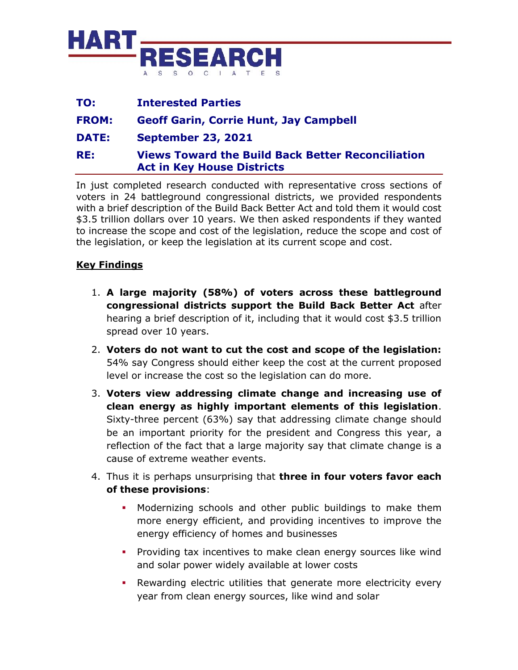

| TO:          | <b>Interested Parties</b>                                                                     |
|--------------|-----------------------------------------------------------------------------------------------|
| <b>FROM:</b> | <b>Geoff Garin, Corrie Hunt, Jay Campbell</b>                                                 |
| <b>DATE:</b> | <b>September 23, 2021</b>                                                                     |
| RE:          | <b>Views Toward the Build Back Better Reconciliation</b><br><b>Act in Key House Districts</b> |

In just completed research conducted with representative cross sections of voters in 24 battleground congressional districts, we provided respondents with a brief description of the Build Back Better Act and told them it would cost \$3.5 trillion dollars over 10 years. We then asked respondents if they wanted to increase the scope and cost of the legislation, reduce the scope and cost of the legislation, or keep the legislation at its current scope and cost.

## **Key Findings**

- 1. **A large majority (58%) of voters across these battleground congressional districts support the Build Back Better Act** after hearing a brief description of it, including that it would cost \$3.5 trillion spread over 10 years.
- 2. **Voters do not want to cut the cost and scope of the legislation:**  54% say Congress should either keep the cost at the current proposed level or increase the cost so the legislation can do more.
- 3. **Voters view addressing climate change and increasing use of clean energy as highly important elements of this legislation**. Sixty-three percent (63%) say that addressing climate change should be an important priority for the president and Congress this year, a reflection of the fact that a large majority say that climate change is a cause of extreme weather events.
- 4. Thus it is perhaps unsurprising that **three in four voters favor each of these provisions**:
	- Modernizing schools and other public buildings to make them more energy efficient, and providing incentives to improve the energy efficiency of homes and businesses
	- Providing tax incentives to make clean energy sources like wind and solar power widely available at lower costs
	- Rewarding electric utilities that generate more electricity every year from clean energy sources, like wind and solar